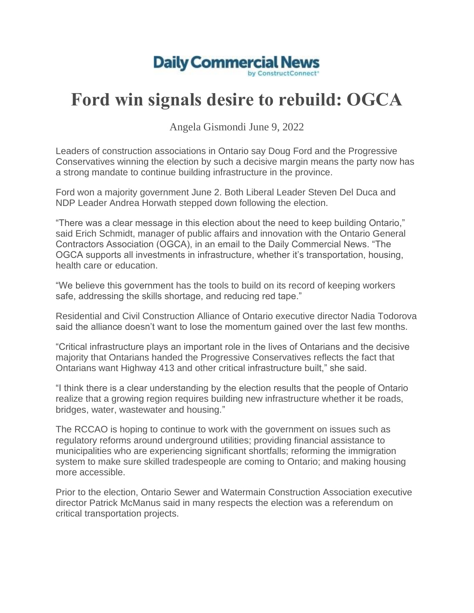

## **Ford win signals desire to rebuild: OGCA**

Angela Gismondi June 9, 2022

Leaders of construction associations in Ontario say Doug Ford and the Progressive Conservatives winning the election by such a decisive margin means the party now has a strong mandate to continue building infrastructure in the province.

Ford won a majority government June 2. Both Liberal Leader Steven Del Duca and NDP Leader Andrea Horwath stepped down following the election.

"There was a clear message in this election about the need to keep building Ontario," said Erich Schmidt, manager of public affairs and innovation with the Ontario General Contractors Association (OGCA), in an email to the Daily Commercial News. "The OGCA supports all investments in infrastructure, whether it's transportation, housing, health care or education.

"We believe this government has the tools to build on its record of keeping workers safe, addressing the skills shortage, and reducing red tape."

Residential and Civil Construction Alliance of Ontario executive director Nadia Todorova said the alliance doesn't want to lose the momentum gained over the last few months.

"Critical infrastructure plays an important role in the lives of Ontarians and the decisive majority that Ontarians handed the Progressive Conservatives reflects the fact that Ontarians want Highway 413 and other critical infrastructure built," she said.

"I think there is a clear understanding by the election results that the people of Ontario realize that a growing region requires building new infrastructure whether it be roads, bridges, water, wastewater and housing."

The RCCAO is hoping to continue to work with the government on issues such as regulatory reforms around underground utilities; providing financial assistance to municipalities who are experiencing significant shortfalls; reforming the immigration system to make sure skilled tradespeople are coming to Ontario; and making housing more accessible.

Prior to the election, Ontario Sewer and Watermain Construction Association executive director Patrick McManus said in many respects the election was a referendum on critical transportation projects.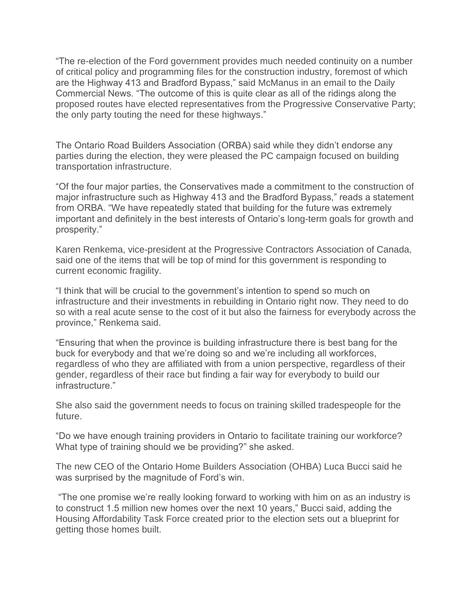"The re-election of the Ford government provides much needed continuity on a number of critical policy and programming files for the construction industry, foremost of which are the Highway 413 and Bradford Bypass," said McManus in an email to the Daily Commercial News. "The outcome of this is quite clear as all of the ridings along the proposed routes have elected representatives from the Progressive Conservative Party; the only party touting the need for these highways."

The Ontario Road Builders Association (ORBA) said while they didn't endorse any parties during the election, they were pleased the PC campaign focused on building transportation infrastructure.

"Of the four major parties, the Conservatives made a commitment to the construction of major infrastructure such as Highway 413 and the Bradford Bypass," reads a statement from ORBA. "We have repeatedly stated that building for the future was extremely important and definitely in the best interests of Ontario's long-term goals for growth and prosperity."

Karen Renkema, vice-president at the Progressive Contractors Association of Canada, said one of the items that will be top of mind for this government is responding to current economic fragility.

"I think that will be crucial to the government's intention to spend so much on infrastructure and their investments in rebuilding in Ontario right now. They need to do so with a real acute sense to the cost of it but also the fairness for everybody across the province," Renkema said.

"Ensuring that when the province is building infrastructure there is best bang for the buck for everybody and that we're doing so and we're including all workforces, regardless of who they are affiliated with from a union perspective, regardless of their gender, regardless of their race but finding a fair way for everybody to build our infrastructure."

She also said the government needs to focus on training skilled tradespeople for the future.

"Do we have enough training providers in Ontario to facilitate training our workforce? What type of training should we be providing?" she asked.

The new CEO of the Ontario Home Builders Association (OHBA) Luca Bucci said he was surprised by the magnitude of Ford's win.

"The one promise we're really looking forward to working with him on as an industry is to construct 1.5 million new homes over the next 10 years," Bucci said, adding the Housing Affordability Task Force created prior to the election sets out a blueprint for getting those homes built.